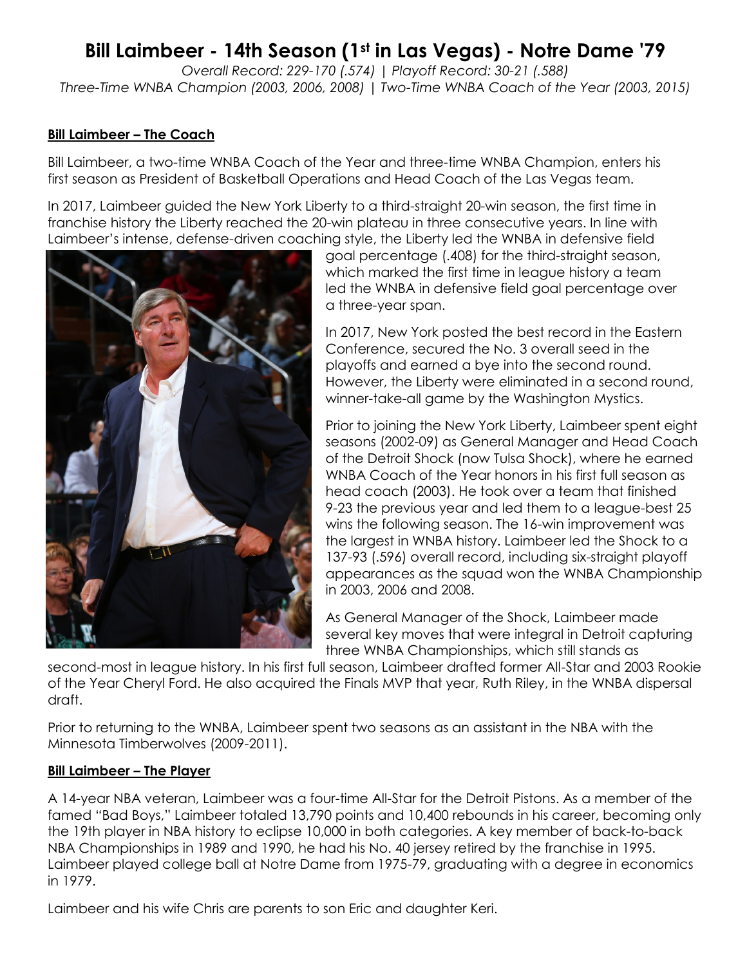## **Bill Laimbeer - 14th Season (1st in Las Vegas) - Notre Dame '79**

*Overall Record: 229-170 (.574) | Playoff Record: 30-21 (.588) Three-Time WNBA Champion (2003, 2006, 2008) | Two-Time WNBA Coach of the Year (2003, 2015)*

## **Bill Laimbeer – The Coach**

Bill Laimbeer, a two-time WNBA Coach of the Year and three-time WNBA Champion, enters his first season as President of Basketball Operations and Head Coach of the Las Vegas team.

In 2017, Laimbeer guided the New York Liberty to a third-straight 20-win season, the first time in franchise history the Liberty reached the 20-win plateau in three consecutive years. In line with Laimbeer's intense, defense-driven coaching style, the Liberty led the WNBA in defensive field



goal percentage (.408) for the third-straight season, which marked the first time in league history a team led the WNBA in defensive field goal percentage over a three-year span.

In 2017, New York posted the best record in the Eastern Conference, secured the No. 3 overall seed in the playoffs and earned a bye into the second round. However, the Liberty were eliminated in a second round, winner-take-all game by the Washington Mystics.

Prior to joining the New York Liberty, Laimbeer spent eight seasons (2002-09) as General Manager and Head Coach of the Detroit Shock (now Tulsa Shock), where he earned WNBA Coach of the Year honors in his first full season as head coach (2003). He took over a team that finished 9-23 the previous year and led them to a league-best 25 wins the following season. The 16-win improvement was the largest in WNBA history. Laimbeer led the Shock to a 137-93 (.596) overall record, including six-straight playoff appearances as the squad won the WNBA Championship in 2003, 2006 and 2008.

As General Manager of the Shock, Laimbeer made several key moves that were integral in Detroit capturing three WNBA Championships, which still stands as

second-most in league history. In his first full season, Laimbeer drafted former All-Star and 2003 Rookie of the Year Cheryl Ford. He also acquired the Finals MVP that year, Ruth Riley, in the WNBA dispersal draft.

Prior to returning to the WNBA, Laimbeer spent two seasons as an assistant in the NBA with the Minnesota Timberwolves (2009-2011).

## **Bill Laimbeer – The Player**

A 14-year NBA veteran, Laimbeer was a four-time All-Star for the Detroit Pistons. As a member of the famed "Bad Boys," Laimbeer totaled 13,790 points and 10,400 rebounds in his career, becoming only the 19th player in NBA history to eclipse 10,000 in both categories. A key member of back-to-back NBA Championships in 1989 and 1990, he had his No. 40 jersey retired by the franchise in 1995. Laimbeer played college ball at Notre Dame from 1975-79, graduating with a degree in economics in 1979.

Laimbeer and his wife Chris are parents to son Eric and daughter Keri.